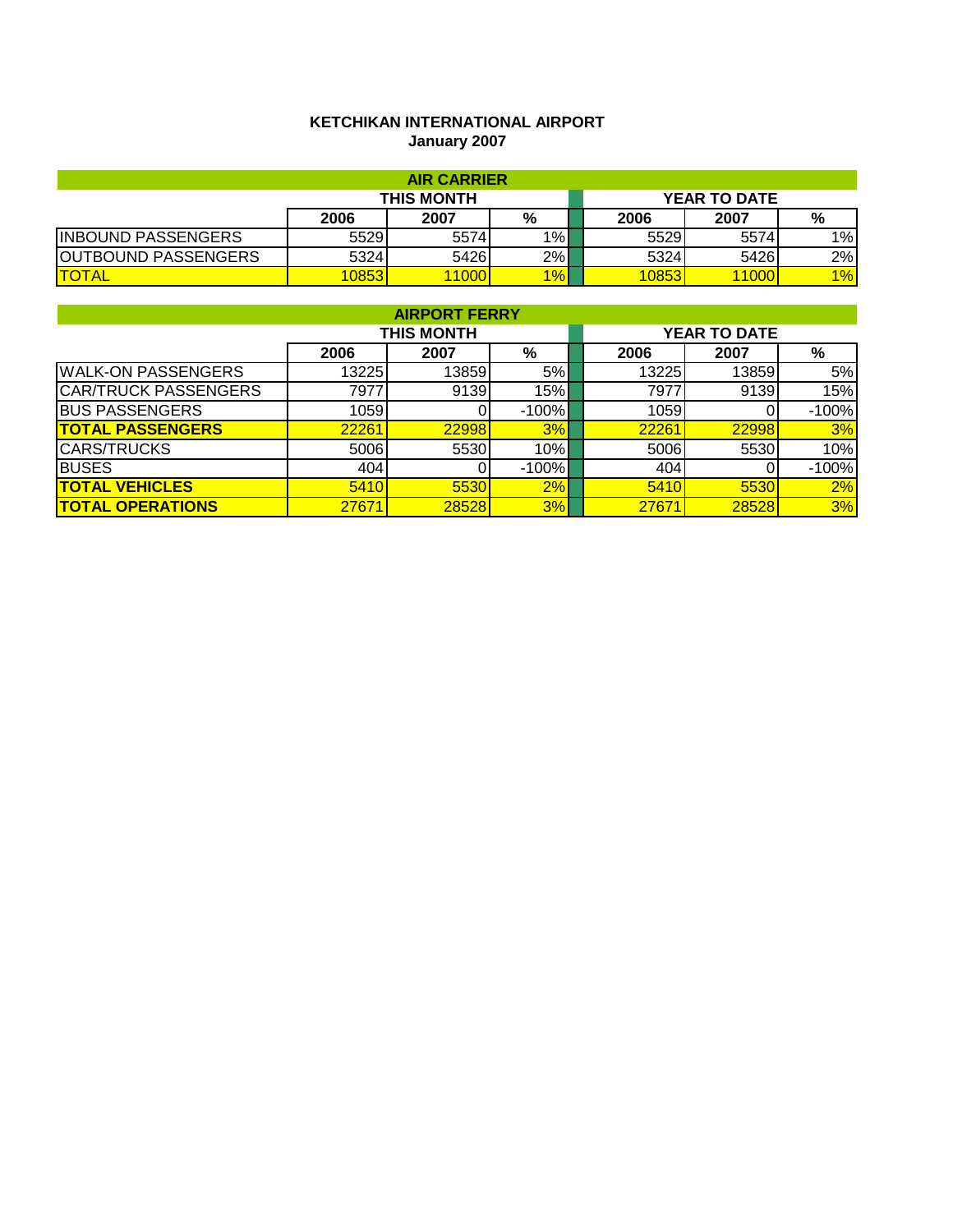# **KETCHIKAN INTERNATIONAL AIRPORT January 2007**

| <b>AIR CARRIER</b>         |                   |      |       |  |      |                     |       |  |
|----------------------------|-------------------|------|-------|--|------|---------------------|-------|--|
|                            | <b>THIS MONTH</b> |      |       |  |      | <b>YEAR TO DATE</b> |       |  |
|                            | 2006              | 2007 | %     |  | 2006 | 2007                | %     |  |
| <b>INBOUND PASSENGERS</b>  | 5529              | 5574 | $1\%$ |  | 5529 | 5574                | $1\%$ |  |
| <b>OUTBOUND PASSENGERS</b> | 5324              | 5426 | 2%    |  | 5324 | 5426                | 2%    |  |
| <b>TOTAL</b>               | 0853              | 1000 | $1\%$ |  | 0853 | 1000                | 1%    |  |

|                             | <b>AIRPORT FERRY</b> |                   |         |  |       |                     |         |  |  |  |  |
|-----------------------------|----------------------|-------------------|---------|--|-------|---------------------|---------|--|--|--|--|
|                             |                      | <b>THIS MONTH</b> |         |  |       | <b>YEAR TO DATE</b> |         |  |  |  |  |
|                             | 2006                 | 2007              | %       |  | 2006  | 2007                | %       |  |  |  |  |
| <b>WALK-ON PASSENGERS</b>   | 13225                | 13859             | 5%      |  | 13225 | 13859               | 5%      |  |  |  |  |
| <b>CAR/TRUCK PASSENGERS</b> | 79771                | 9139              | 15%     |  | 7977  | 9139                | 15%     |  |  |  |  |
| <b>BUS PASSENGERS</b>       | 1059                 |                   | $-100%$ |  | 1059  |                     | $-100%$ |  |  |  |  |
| <b>TOTAL PASSENGERS</b>     | 22261                | 22998             | 3%      |  | 22261 | 22998               | 3%      |  |  |  |  |
| <b>CARS/TRUCKS</b>          | 5006                 | 5530              | 10%     |  | 5006  | 5530                | 10%     |  |  |  |  |
| <b>BUSES</b>                | 404                  |                   | $-100%$ |  | 404   |                     | $-100%$ |  |  |  |  |
| <b>TOTAL VEHICLES</b>       | 5410                 | 5530              | 2%      |  | 5410  | 5530                | 2%      |  |  |  |  |
| <b>TOTAL OPERATIONS</b>     | 27671                | 28528             | 3%      |  | 27671 | 28528               | 3%      |  |  |  |  |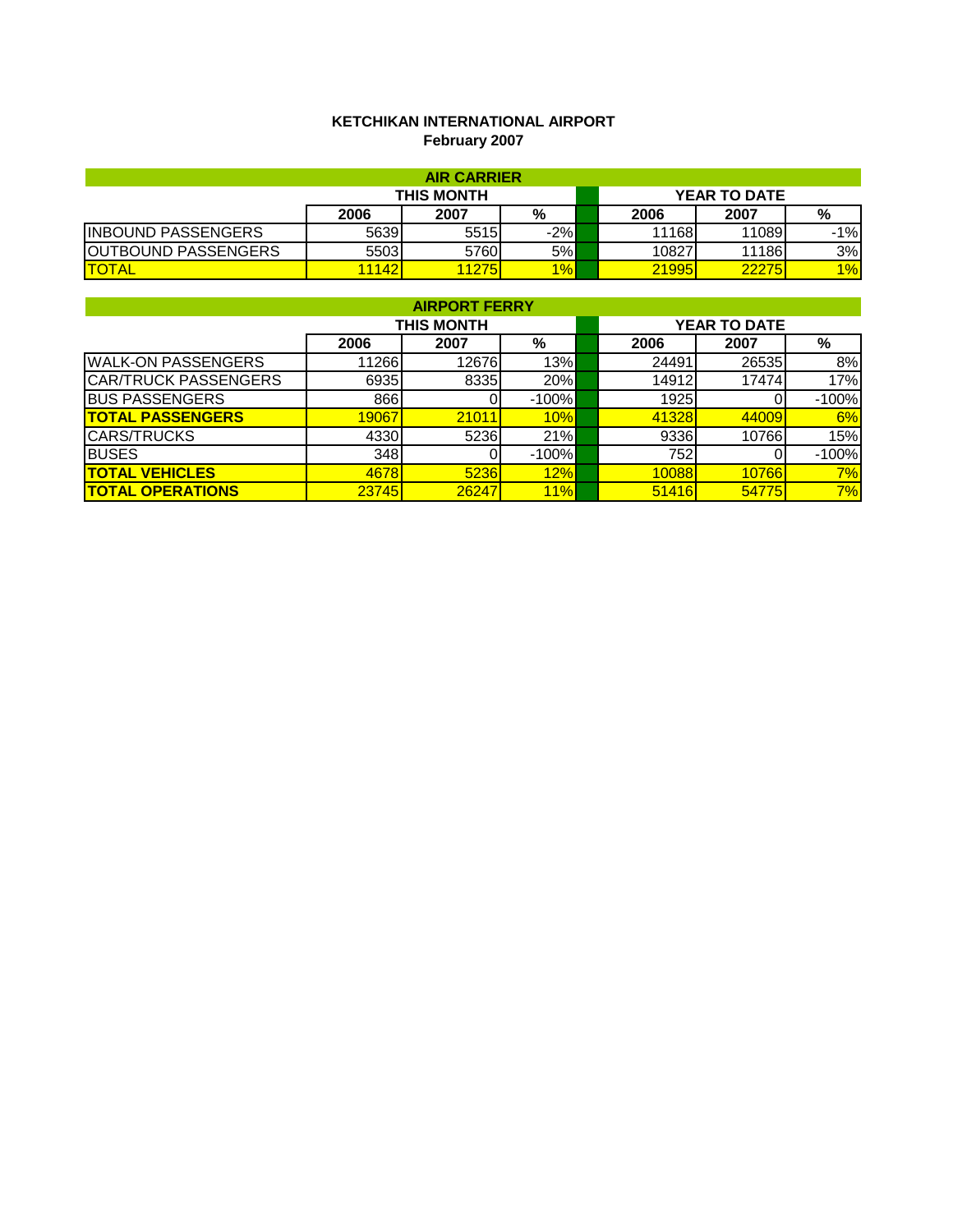### **KETCHIKAN INTERNATIONAL AIRPORT February 2007**

| <b>AIR CARRIER</b>         |                   |       |       |  |       |                     |       |  |
|----------------------------|-------------------|-------|-------|--|-------|---------------------|-------|--|
|                            | <b>THIS MONTH</b> |       |       |  |       | <b>YEAR TO DATE</b> |       |  |
|                            | 2006              | 2007  | %     |  | 2006  | 2007                | %     |  |
| <b>INBOUND PASSENGERS</b>  | 5639              | 5515  | $-2%$ |  | 11168 | 11089               | $-1%$ |  |
| <b>OUTBOUND PASSENGERS</b> | 5503              | 5760l | 5%    |  | 10827 | 11186               | 3%    |  |
| <b>TOTAL</b>               | 1142              | 1275  | 1%    |  | 21995 | 22275               | 1%    |  |

| <b>AIRPORT FERRY</b>        |       |                   |         |  |       |                     |         |  |  |  |
|-----------------------------|-------|-------------------|---------|--|-------|---------------------|---------|--|--|--|
|                             |       | <b>THIS MONTH</b> |         |  |       | <b>YEAR TO DATE</b> |         |  |  |  |
|                             | 2006  | 2007              | %       |  | 2006  | 2007                | %       |  |  |  |
| <b>WALK-ON PASSENGERS</b>   | 11266 | 12676             | 13%     |  | 24491 | 26535               | 8%      |  |  |  |
| <b>CAR/TRUCK PASSENGERS</b> | 6935  | 8335              | 20%     |  | 14912 | 17474               | 17%     |  |  |  |
| <b>BUS PASSENGERS</b>       | 866   |                   | $-100%$ |  | 1925  |                     | $-100%$ |  |  |  |
| <b>TOTAL PASSENGERS</b>     | 19067 | 21011             | 10%     |  | 41328 | 44009               | 6%      |  |  |  |
| <b>CARS/TRUCKS</b>          | 4330  | 5236              | 21%     |  | 9336  | 10766               | 15%     |  |  |  |
| <b>BUSES</b>                | 348   |                   | $-100%$ |  | 752   |                     | $-100%$ |  |  |  |
| <b>ITOTAL VEHICLES</b>      | 4678  | 5236              | 12%     |  | 10088 | 10766               | 7%      |  |  |  |
| <b>ITOTAL OPERATIONS</b>    | 23745 | 26247             | 11%     |  | 51416 | 54775               | 7%      |  |  |  |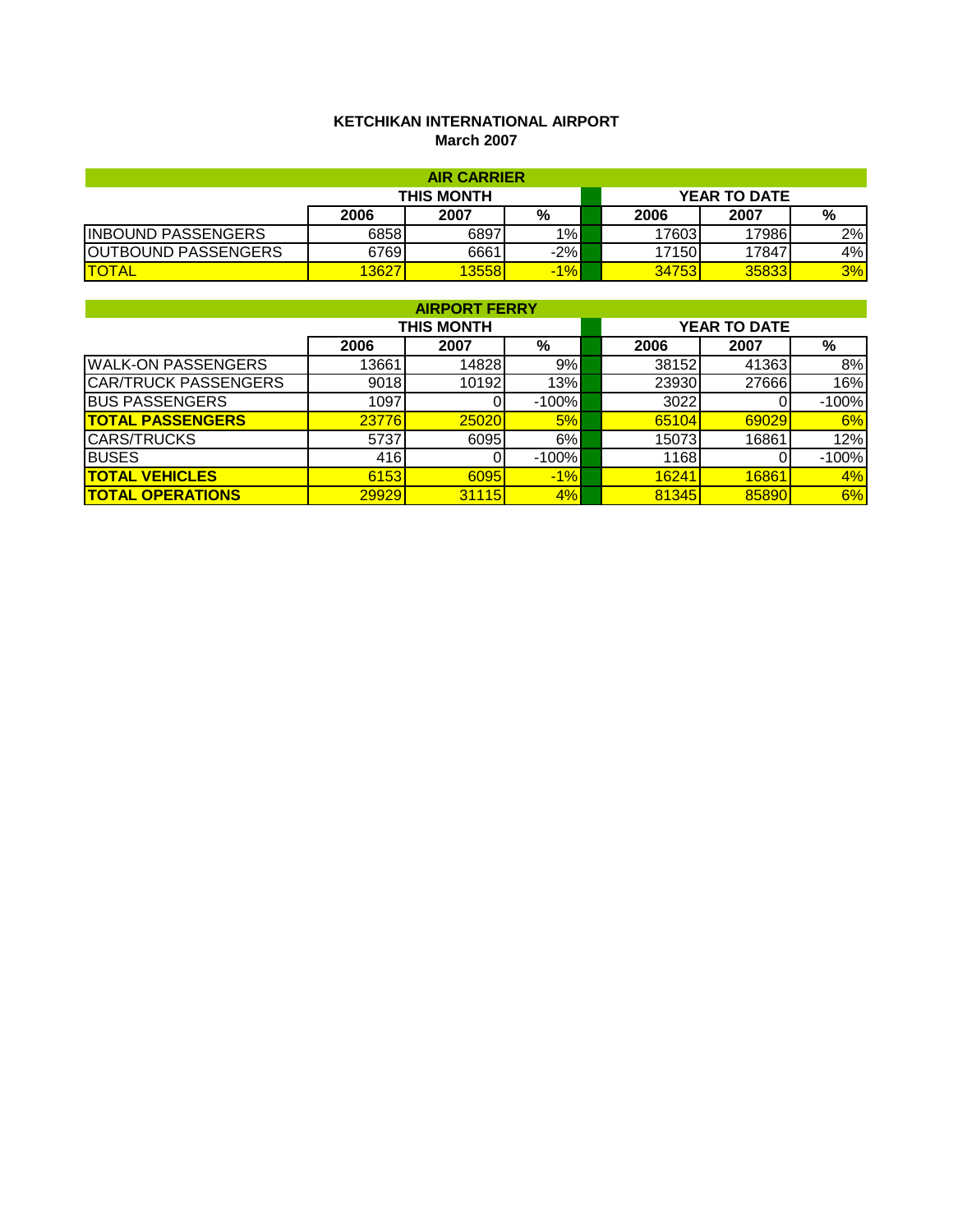### **KETCHIKAN INTERNATIONAL AIRPORT March 2007**

| <b>AIR CARRIER</b>         |       |       |        |  |       |                     |    |  |
|----------------------------|-------|-------|--------|--|-------|---------------------|----|--|
| <b>THIS MONTH</b>          |       |       |        |  |       | <b>YEAR TO DATE</b> |    |  |
|                            | 2006  | 2007  | %      |  | 2006  | 2007                | %  |  |
| <b>INBOUND PASSENGERS</b>  | 6858  | 6897  | $1\%$  |  | 17603 | 17986               | 2% |  |
| <b>OUTBOUND PASSENGERS</b> | 6769  | 6661  | $-2%$  |  | 17150 | 17847               | 4% |  |
| <b>ITOTAL</b>              | 13627 | 13558 | $-1\%$ |  | 34753 | 35833               | 3% |  |

| <b>AIRPORT FERRY</b>        |              |            |         |  |       |                     |         |  |  |
|-----------------------------|--------------|------------|---------|--|-------|---------------------|---------|--|--|
|                             |              | THIS MONTH |         |  |       | <b>YEAR TO DATE</b> |         |  |  |
|                             | 2006         | 2007       | %       |  | 2006  | 2007                | %       |  |  |
| <b>WALK-ON PASSENGERS</b>   | 13661        | 14828      | 9%      |  | 38152 | 41363               | 8%      |  |  |
| <b>CAR/TRUCK PASSENGERS</b> | 9018         | 10192      | 13%     |  | 23930 | 27666               | 16%     |  |  |
| <b>BUS PASSENGERS</b>       | 1097         |            | $-100%$ |  | 3022  |                     | $-100%$ |  |  |
| <b>TOTAL PASSENGERS</b>     | <b>23776</b> | 25020      | 5%      |  | 65104 | 69029               | 6%      |  |  |
| <b>CARS/TRUCKS</b>          | 5737         | 6095       | 6%      |  | 15073 | 16861               | 12%     |  |  |
| <b>BUSES</b>                | 416          |            | $-100%$ |  | 1168  |                     | $-100%$ |  |  |
| <b>TOTAL VEHICLES</b>       | 6153         | 6095       | $-1%$   |  | 16241 | 16861               | 4%      |  |  |
| <b>TOTAL OPERATIONS</b>     | 29929        | 31115      | 4%      |  | 81345 | 85890               | 6%      |  |  |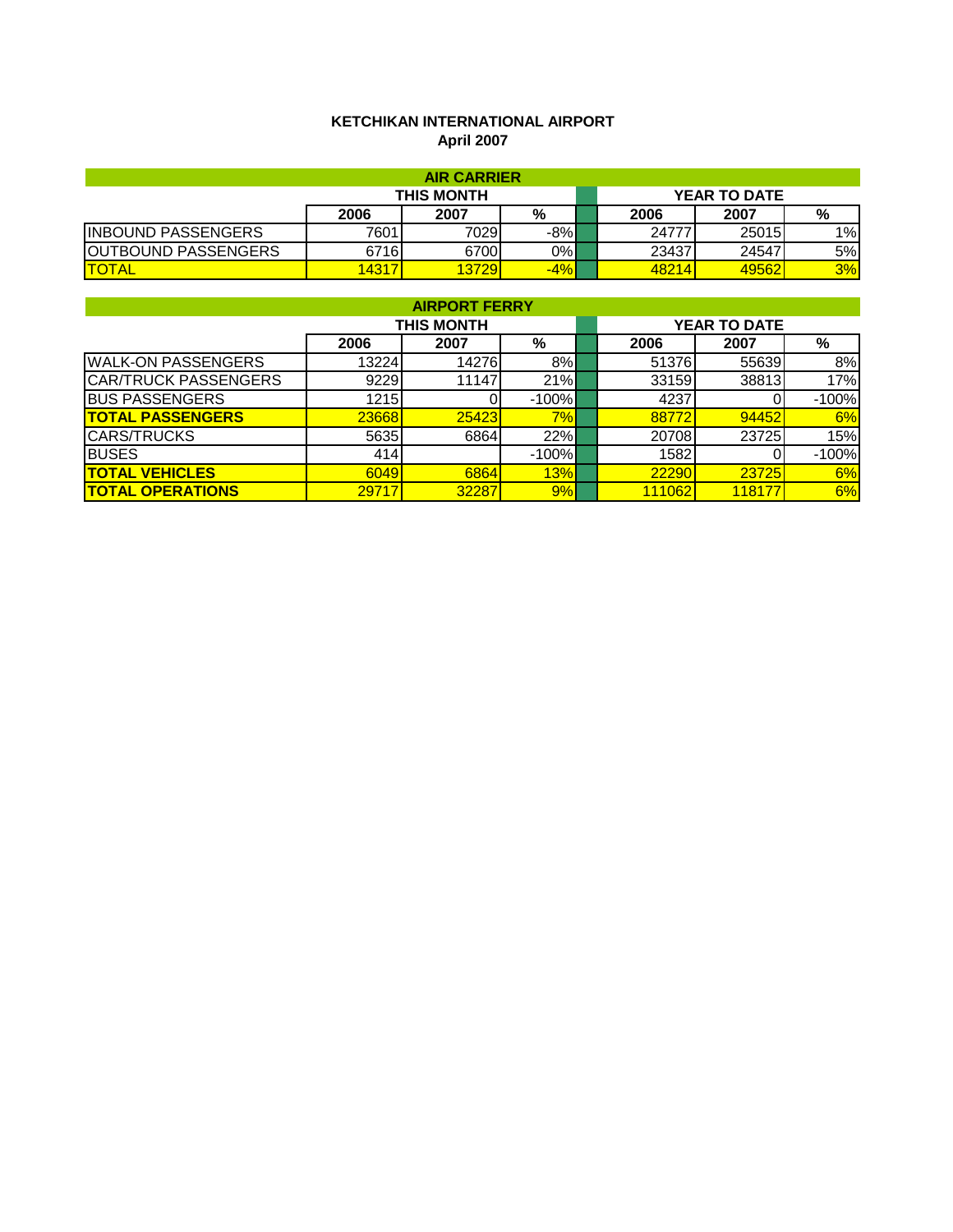#### **KETCHIKAN INTERNATIONAL AIRPORT April 2007**

| <b>AIR CARRIER</b>         |                   |        |       |  |       |                     |    |  |
|----------------------------|-------------------|--------|-------|--|-------|---------------------|----|--|
|                            | <b>THIS MONTH</b> |        |       |  |       | <b>YEAR TO DATE</b> |    |  |
|                            | 2006              | 2007   | %     |  | 2006  | 2007                | %  |  |
| <b>INBOUND PASSENGERS</b>  | 7601              | 70291  | $-8%$ |  | 24777 | 25015               | 1% |  |
| <b>OUTBOUND PASSENGERS</b> | 6716              | 6700   | $0\%$ |  | 23437 | 24547               | 5% |  |
| <b>TOTAL</b>               | <b>14317</b>      | 13729I | $-4%$ |  | 48214 | 49562               | 3% |  |

| <b>AIRPORT FERRY</b>        |       |            |         |  |        |                     |         |  |  |
|-----------------------------|-------|------------|---------|--|--------|---------------------|---------|--|--|
|                             |       | THIS MONTH |         |  |        | <b>YEAR TO DATE</b> |         |  |  |
|                             | 2006  | 2007       | %       |  | 2006   | 2007                | %       |  |  |
| <b>WALK-ON PASSENGERS</b>   | 13224 | 14276      | 8%      |  | 51376  | 55639               | 8%      |  |  |
| <b>CAR/TRUCK PASSENGERS</b> | 9229  | 11147      | 21%     |  | 33159  | 38813               | 17%     |  |  |
| <b>BUS PASSENGERS</b>       | 1215  |            | $-100%$ |  | 4237   |                     | $-100%$ |  |  |
| <b>TOTAL PASSENGERS</b>     | 23668 | 25423      | 7%      |  | 88772  | 94452               | 6%      |  |  |
| <b>CARS/TRUCKS</b>          | 5635  | 6864       | 22%     |  | 20708  | 23725               | 15%     |  |  |
| <b>BUSES</b>                | 414   |            | $-100%$ |  | 1582   |                     | $-100%$ |  |  |
| <b>ITOTAL VEHICLES</b>      | 6049  | 6864       | 13%     |  | 22290  | 23725               | 6%      |  |  |
| <b>ITOTAL OPERATIONS</b>    | 29717 | 32287      | 9%      |  | 111062 | 118177              | 6%      |  |  |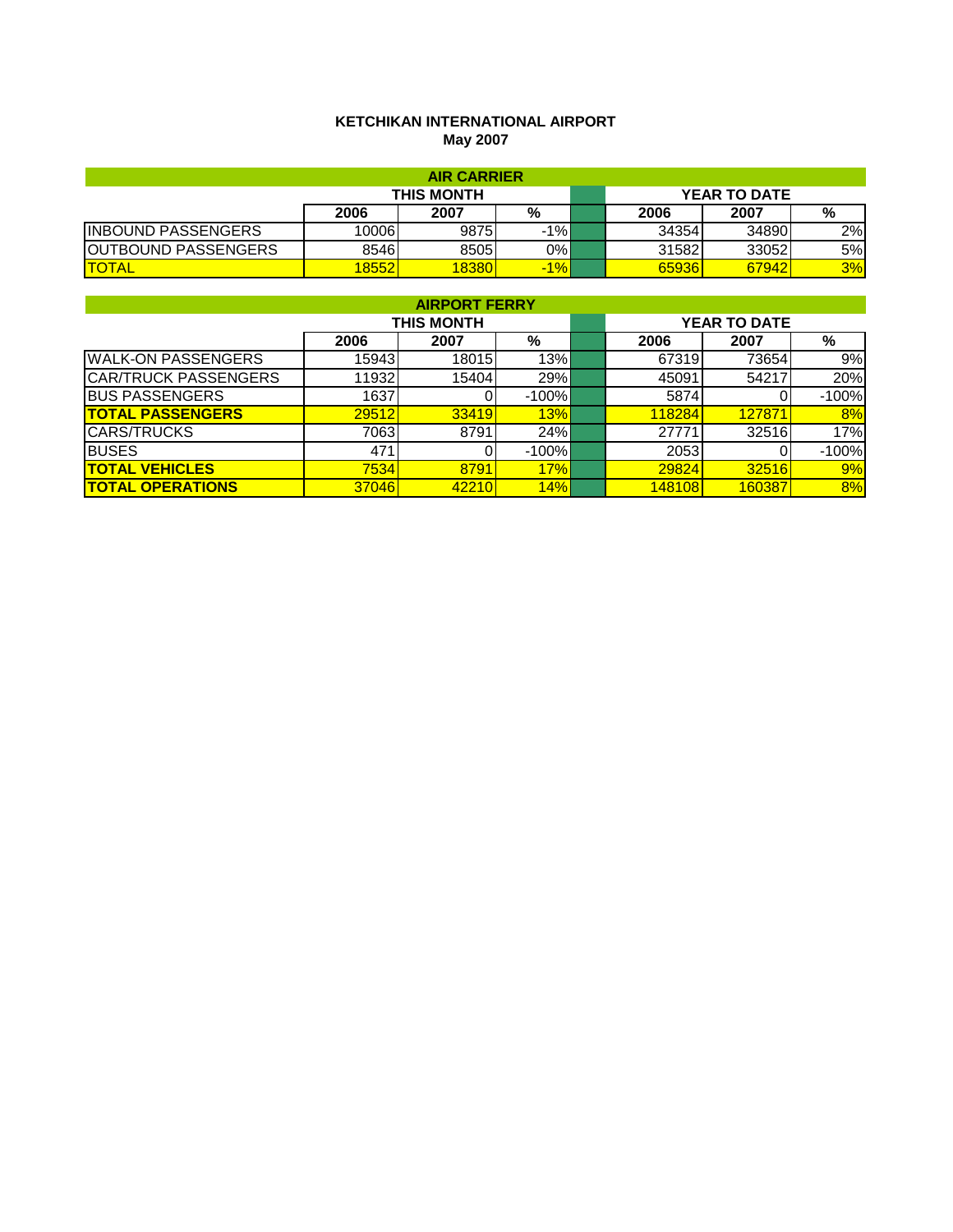#### **KETCHIKAN INTERNATIONAL AIRPORT May 2007**

| <b>AIR CARRIER</b>         |            |       |        |  |       |                     |    |  |
|----------------------------|------------|-------|--------|--|-------|---------------------|----|--|
|                            | THIS MONTH |       |        |  |       | <b>YEAR TO DATE</b> |    |  |
|                            | 2006       | 2007  | %      |  | 2006  | 2007                | %  |  |
| <b>INBOUND PASSENGERS</b>  | 10006      | 9875  | $-1\%$ |  | 34354 | 34890               | 2% |  |
| <b>OUTBOUND PASSENGERS</b> | 85461      | 8505  | 0%     |  | 31582 | 33052               | 5% |  |
| <b>ITOTAL</b>              | 8552       | 18380 | $-1\%$ |  | 65936 | 67942               | 3% |  |

| <b>AIRPORT FERRY</b>        |       |                   |          |  |        |                     |         |  |  |
|-----------------------------|-------|-------------------|----------|--|--------|---------------------|---------|--|--|
|                             |       | <b>THIS MONTH</b> |          |  |        | <b>YEAR TO DATE</b> |         |  |  |
|                             | 2006  | 2007              | %        |  | 2006   | 2007                | %       |  |  |
| <b>WALK-ON PASSENGERS</b>   | 15943 | 18015             | 13%      |  | 67319  | 73654               | 9%      |  |  |
| <b>CAR/TRUCK PASSENGERS</b> | 11932 | 15404             | 29%      |  | 45091  | 54217               | 20%     |  |  |
| <b>BUS PASSENGERS</b>       | 1637  |                   | $-100\%$ |  | 5874   |                     | $-100%$ |  |  |
| <b>TOTAL PASSENGERS</b>     | 29512 | 33419             | 13%      |  | 118284 | 127871              | 8%      |  |  |
| <b>CARS/TRUCKS</b>          | 7063  | 8791              | 24%      |  | 27771  | 32516               | 17%     |  |  |
| <b>BUSES</b>                | 471   |                   | $-100\%$ |  | 2053   |                     | $-100%$ |  |  |
| <b>ITOTAL VEHICLES</b>      | 7534  | 8791              | 17%      |  | 29824  | 32516               | 9%      |  |  |
| <b>ITOTAL OPERATIONS</b>    | 37046 | 42210             | 14%      |  | 148108 | 160387              | 8%      |  |  |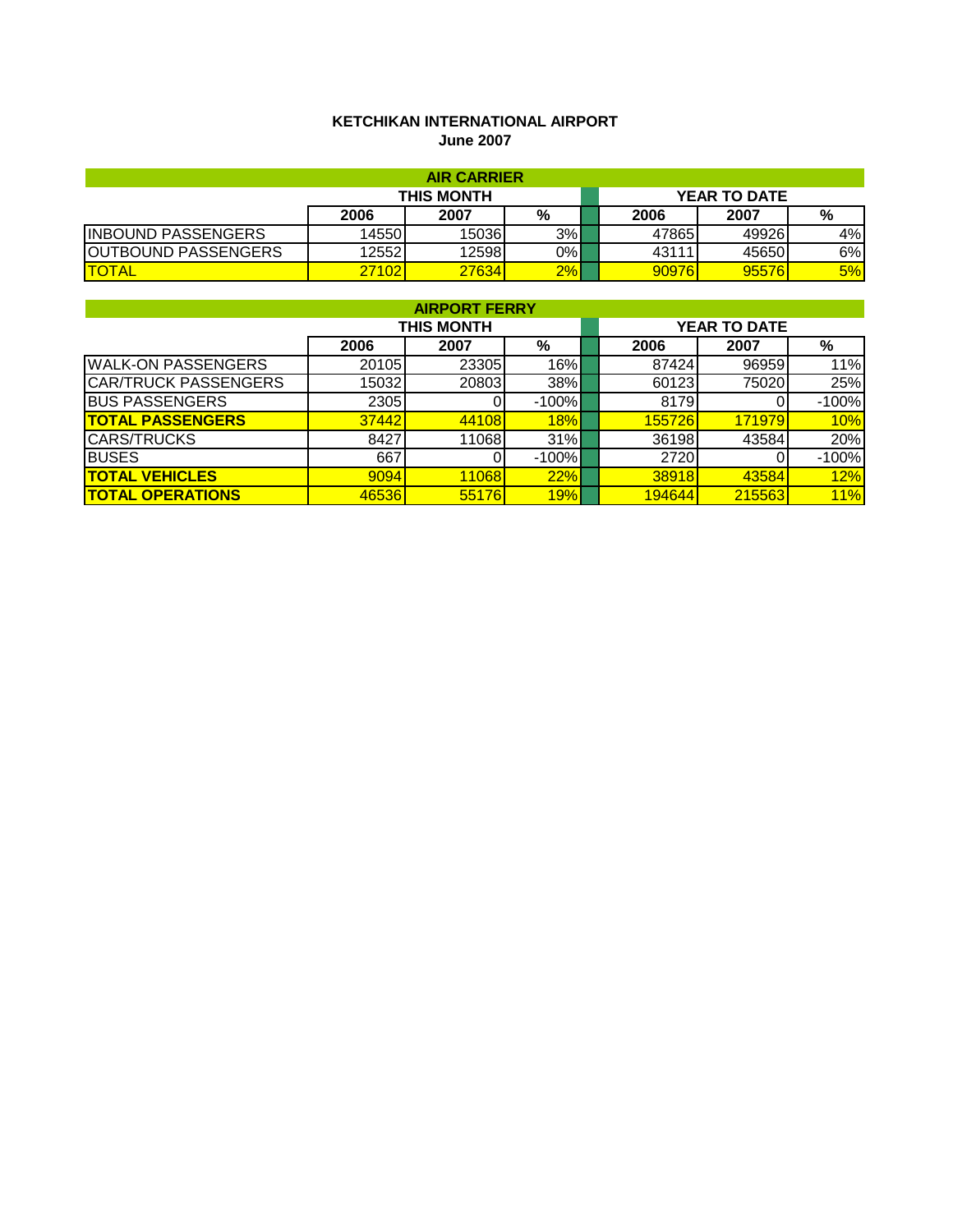### **KETCHIKAN INTERNATIONAL AIRPORT June 2007**

| <b>AIR CARRIER</b>         |                   |       |    |  |                     |       |    |  |
|----------------------------|-------------------|-------|----|--|---------------------|-------|----|--|
|                            | <b>THIS MONTH</b> |       |    |  | <b>YEAR TO DATE</b> |       |    |  |
|                            | 2006              | 2007  | %  |  | 2006                | 2007  | %  |  |
| <b>INBOUND PASSENGERS</b>  | 14550             | 15036 | 3% |  | 47865               | 49926 | 4% |  |
| <b>OUTBOUND PASSENGERS</b> | 12552             | 12598 | 0% |  | 43111               | 45650 | 6% |  |
| <b>ITOTAL</b>              | 27102             | 27634 | 2% |  | 90976               | 95576 | 5% |  |

| <b>AIRPORT FERRY</b>        |       |                   |         |  |        |                     |         |  |  |  |
|-----------------------------|-------|-------------------|---------|--|--------|---------------------|---------|--|--|--|
|                             |       | <b>THIS MONTH</b> |         |  |        | <b>YEAR TO DATE</b> |         |  |  |  |
|                             | 2006  | 2007              | %       |  | 2006   | 2007                | %       |  |  |  |
| <b>WALK-ON PASSENGERS</b>   | 20105 | 23305             | 16%     |  | 87424  | 96959               | 11%     |  |  |  |
| <b>CAR/TRUCK PASSENGERS</b> | 15032 | 20803             | 38%     |  | 60123  | 75020               | 25%     |  |  |  |
| <b>BUS PASSENGERS</b>       | 2305  |                   | $-100%$ |  | 8179   |                     | $-100%$ |  |  |  |
| <b>TOTAL PASSENGERS</b>     | 37442 | 44108             | 18%     |  | 155726 | 171979              | 10%     |  |  |  |
| <b>CARS/TRUCKS</b>          | 8427  | 11068             | 31%     |  | 36198  | 43584               | 20%     |  |  |  |
| <b>BUSES</b>                | 667   |                   | $-100%$ |  | 2720   |                     | $-100%$ |  |  |  |
| <b>TOTAL VEHICLES</b>       | 9094  | 11068             | 22%     |  | 38918  | 43584               | 12%     |  |  |  |
| <b>TOTAL OPERATIONS</b>     | 46536 | 55176             | 19%     |  | 194644 | 215563              | 11%     |  |  |  |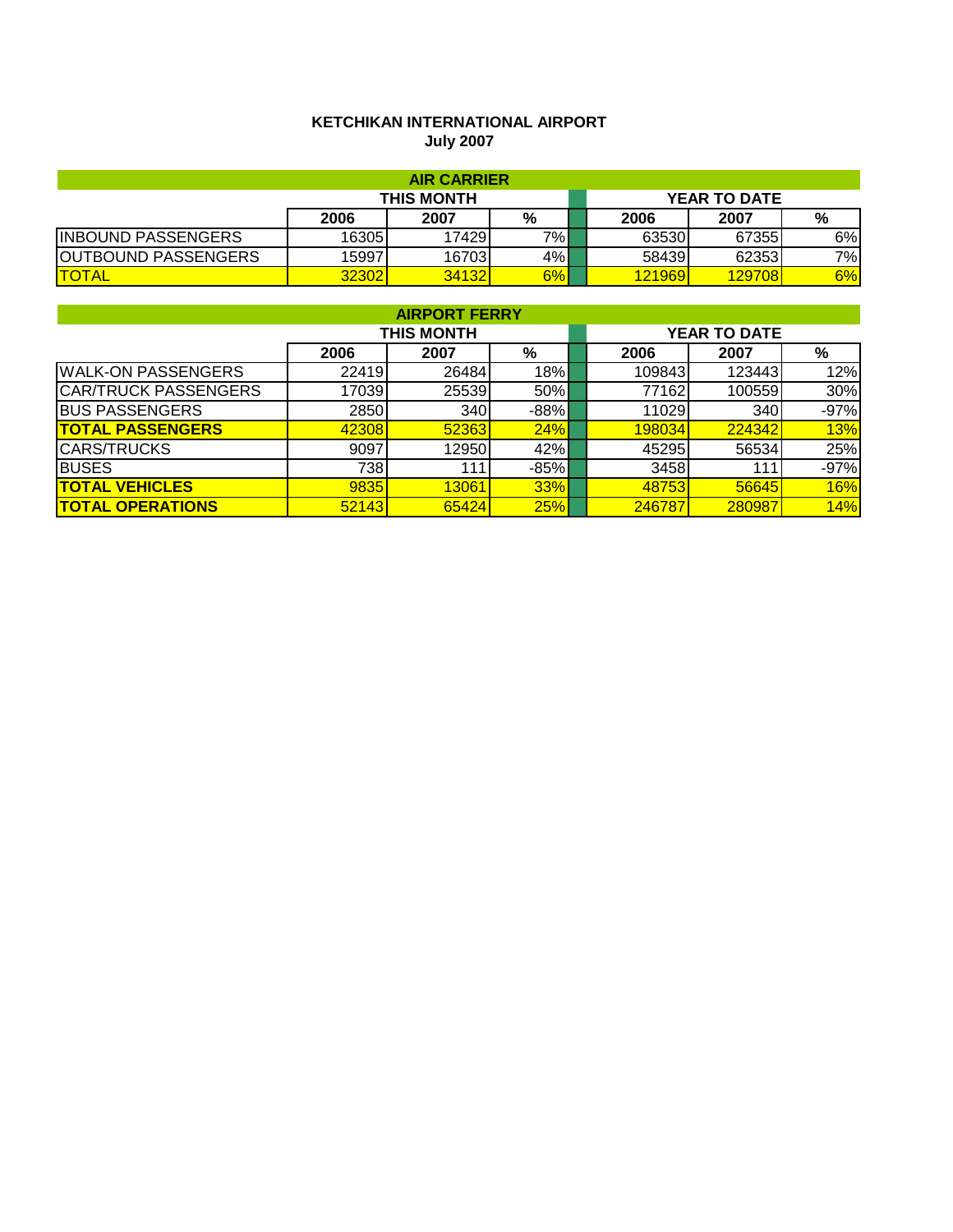# **KETCHIKAN INTERNATIONAL AIRPORT July 2007**

|                            |                   | <b>AIR CARRIER</b> |       |  |        |                     |    |
|----------------------------|-------------------|--------------------|-------|--|--------|---------------------|----|
|                            | <b>THIS MONTH</b> |                    |       |  |        | <b>YEAR TO DATE</b> |    |
|                            | 2006              | 2007               | %     |  | 2006   | 2007                | %  |
| <b>INBOUND PASSENGERS</b>  | 16305             | 17429              | $7\%$ |  | 63530  | 67355               | 6% |
| <b>OUTBOUND PASSENGERS</b> | 15997             | 16703              | 4%    |  | 58439  | 62353               | 7% |
| <b>TOTAL</b>               | 32302             | 34132              | 6%    |  | 121969 | 129708              | 6% |

| <b>AIRPORT FERRY</b>        |                   |       |        |  |                     |        |            |  |  |
|-----------------------------|-------------------|-------|--------|--|---------------------|--------|------------|--|--|
|                             | <b>THIS MONTH</b> |       |        |  | <b>YEAR TO DATE</b> |        |            |  |  |
|                             | 2006              | 2007  | %      |  | 2006                | 2007   | %          |  |  |
| <b>WALK-ON PASSENGERS</b>   | 22419             | 26484 | 18%    |  | 109843              | 123443 | 12%        |  |  |
| <b>CAR/TRUCK PASSENGERS</b> | 17039             | 25539 | 50%    |  | 77162               | 100559 | 30%        |  |  |
| <b>BUS PASSENGERS</b>       | 2850              | 340   | $-88%$ |  | 11029               | 340    | $-97%$     |  |  |
| <b>TOTAL PASSENGERS</b>     | 42308             | 52363 | 24%    |  | 198034              | 224342 | 13%        |  |  |
| <b>CARS/TRUCKS</b>          | 9097              | 12950 | 42%    |  | 45295               | 56534  | 25%        |  |  |
| <b>BUSES</b>                | 738               | 111   | $-85%$ |  | 3458                | 111    | $-97%$     |  |  |
| <b>TOTAL VEHICLES</b>       | 9835              | 13061 | 33%    |  | 48753               | 56645  | <b>16%</b> |  |  |
| <b>TOTAL OPERATIONS</b>     | 52143             | 65424 | 25%    |  | 246787              | 280987 | 14%        |  |  |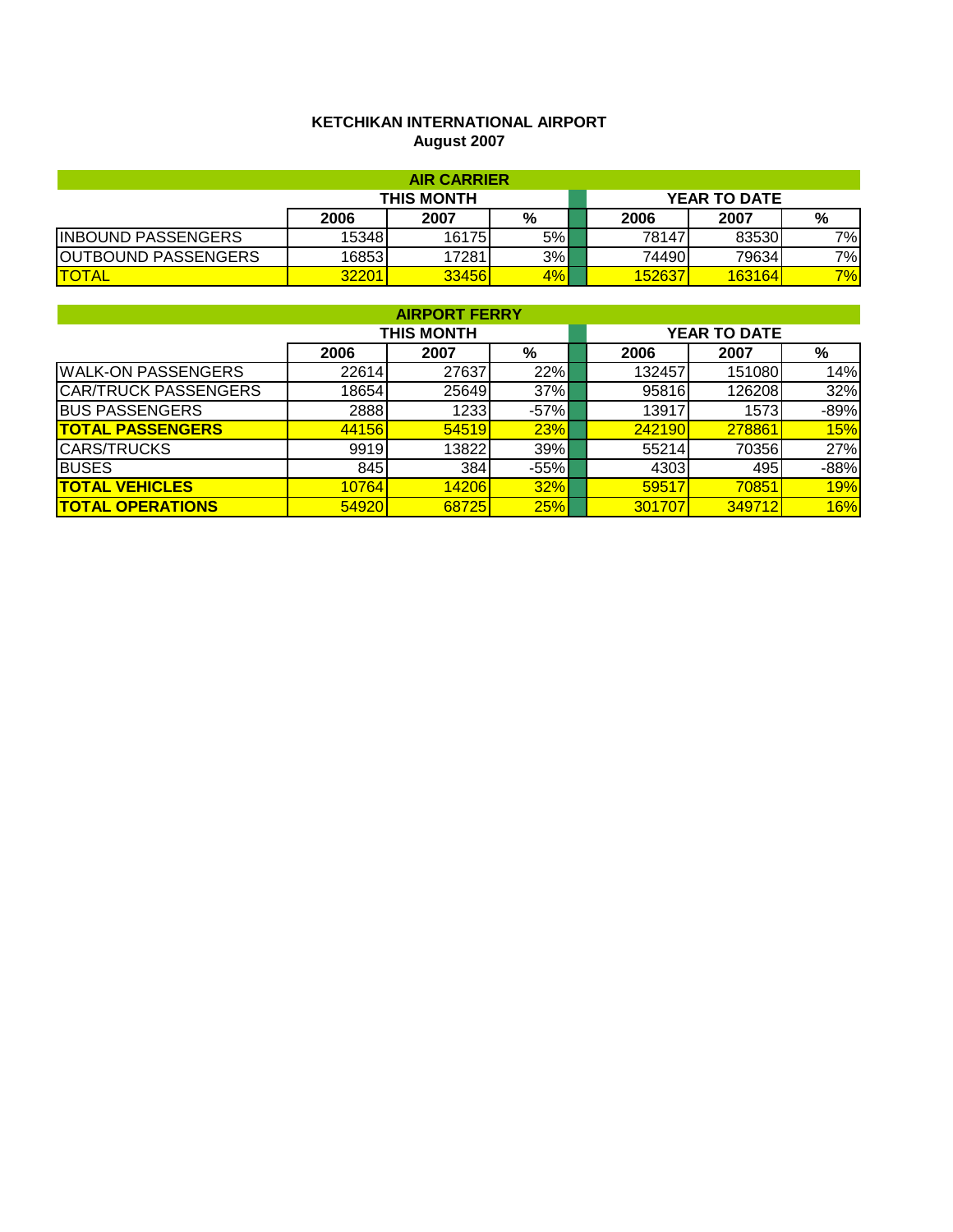# **KETCHIKAN INTERNATIONAL AIRPORT August 2007**

| <b>AIR CARRIER</b>         |            |       |       |  |        |                     |     |  |  |
|----------------------------|------------|-------|-------|--|--------|---------------------|-----|--|--|
|                            | THIS MONTH |       |       |  |        | <b>YEAR TO DATE</b> |     |  |  |
|                            | 2006       | 2007  | %     |  | 2006   | 2007                | %   |  |  |
| <b>INBOUND PASSENGERS</b>  | 15348      | 16175 | 5%    |  | 78147  | 83530               | 7%I |  |  |
| <b>OUTBOUND PASSENGERS</b> | 16853      | 17281 | 3%    |  | 744901 | 79634               | 7%  |  |  |
| <b>TOTAL</b>               | 32201      | 33456 | $4\%$ |  | 152637 | 163164              | 7%  |  |  |

| <b>AIRPORT FERRY</b>        |                   |       |        |  |                     |        |            |  |  |
|-----------------------------|-------------------|-------|--------|--|---------------------|--------|------------|--|--|
|                             | <b>THIS MONTH</b> |       |        |  | <b>YEAR TO DATE</b> |        |            |  |  |
|                             | 2006              | 2007  | %      |  | 2006                | 2007   | %          |  |  |
| <b>WALK-ON PASSENGERS</b>   | 22614             | 27637 | 22%    |  | 132457              | 151080 | 14%        |  |  |
| <b>CAR/TRUCK PASSENGERS</b> | 18654             | 25649 | 37%    |  | 95816               | 126208 | 32%        |  |  |
| <b>BUS PASSENGERS</b>       | 2888              | 1233  | $-57%$ |  | 13917               | 1573   | $-89%$     |  |  |
| <b>TOTAL PASSENGERS</b>     | 44156             | 54519 | 23%    |  | 242190              | 278861 | <b>15%</b> |  |  |
| <b>CARS/TRUCKS</b>          | 9919              | 13822 | 39%    |  | 55214               | 70356  | 27%        |  |  |
| <b>BUSES</b>                | 845               | 384   | $-55%$ |  | 4303                | 495    | $-88%$     |  |  |
| <b>TOTAL VEHICLES</b>       | 10764             | 14206 | 32%    |  | 59517               | 70851  | <b>19%</b> |  |  |
| <b>TOTAL OPERATIONS</b>     | 54920             | 68725 | 25%    |  | 301707              | 349712 | 16%        |  |  |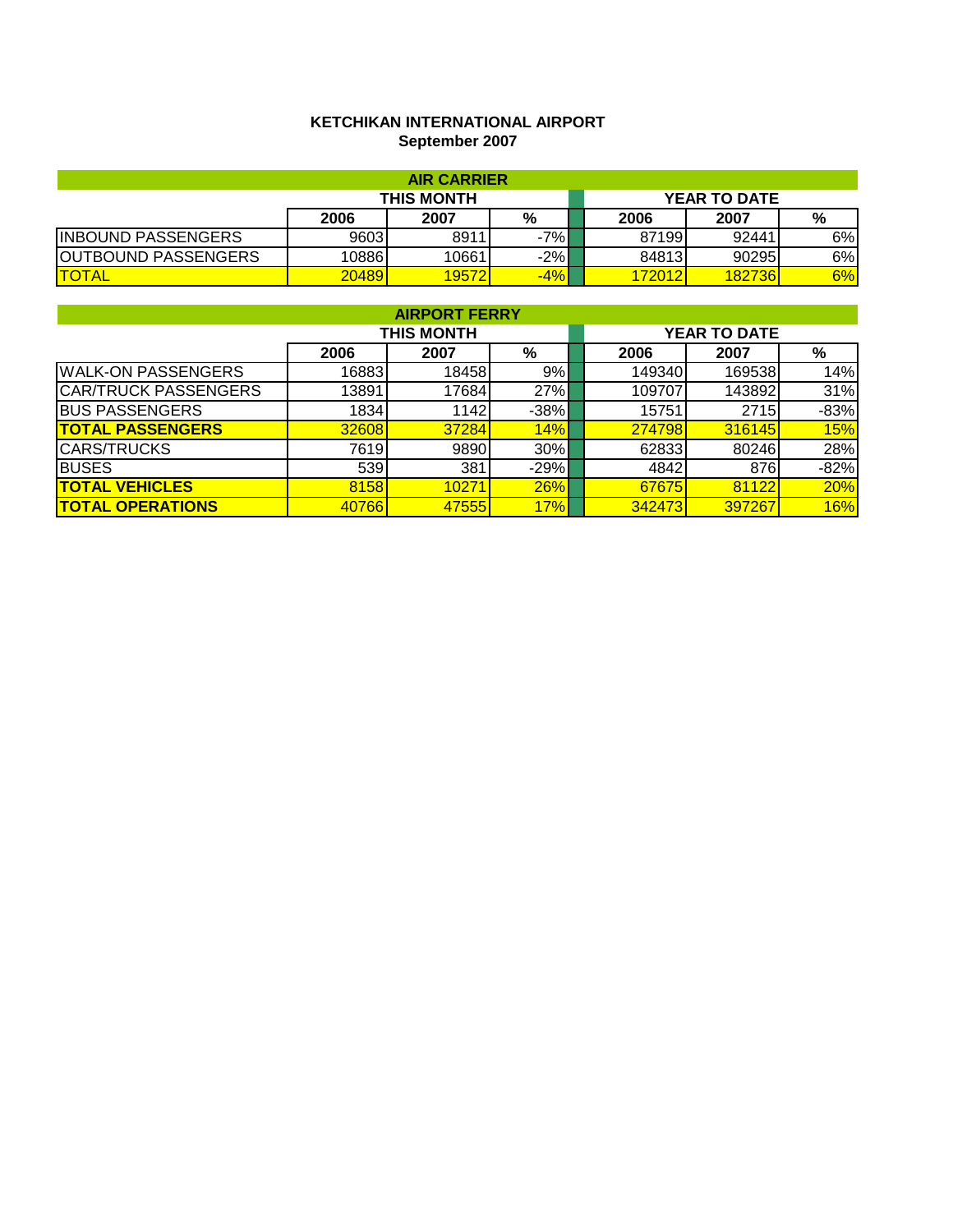# **KETCHIKAN INTERNATIONAL AIRPORT September 2007**

| <b>AIR CARRIER</b>          |                   |       |       |  |        |                     |    |  |  |
|-----------------------------|-------------------|-------|-------|--|--------|---------------------|----|--|--|
|                             | <b>THIS MONTH</b> |       |       |  |        | <b>YEAR TO DATE</b> |    |  |  |
|                             | 2006              | 2007  | %     |  | 2006   | 2007                | %  |  |  |
| <b>INBOUND PASSENGERS</b>   | 9603              | 8911  | -7%I  |  | 87199  | 92441               | 6% |  |  |
| <b>IOUTBOUND PASSENGERS</b> | 10886             | 10661 | $-2%$ |  | 84813  | 90295               | 6% |  |  |
| <b>ITOTAL</b>               | 20489             | 19572 | $-4%$ |  | 172012 | 182736              | 6% |  |  |

| <b>AIRPORT FERRY</b>        |                   |       |        |  |                     |        |        |  |  |
|-----------------------------|-------------------|-------|--------|--|---------------------|--------|--------|--|--|
|                             | <b>THIS MONTH</b> |       |        |  | <b>YEAR TO DATE</b> |        |        |  |  |
|                             | 2006              | 2007  | %      |  | 2006                | 2007   | %      |  |  |
| <b>IWALK-ON PASSENGERS</b>  | 16883             | 18458 | 9%     |  | 149340              | 169538 | 14%    |  |  |
| <b>CAR/TRUCK PASSENGERS</b> | 13891             | 17684 | 27%    |  | 109707              | 143892 | 31%    |  |  |
| <b>BUS PASSENGERS</b>       | 1834              | 1142  | $-38%$ |  | 15751               | 2715   | $-83%$ |  |  |
| <b>TOTAL PASSENGERS</b>     | 32608             | 37284 | 14%    |  | 274798              | 316145 | 15%    |  |  |
| <b>CARS/TRUCKS</b>          | 7619              | 9890  | 30%    |  | 62833               | 80246  | 28%    |  |  |
| <b>BUSES</b>                | 539               | 381   | $-29%$ |  | 4842                | 876    | $-82%$ |  |  |
| <b>TOTAL VEHICLES</b>       | 8158              | 10271 | 26%    |  | 67675               | 81122  | 20%    |  |  |
| <b>TOTAL OPERATIONS</b>     | 40766             | 47555 | 17%    |  | 342473              | 397267 | 16%    |  |  |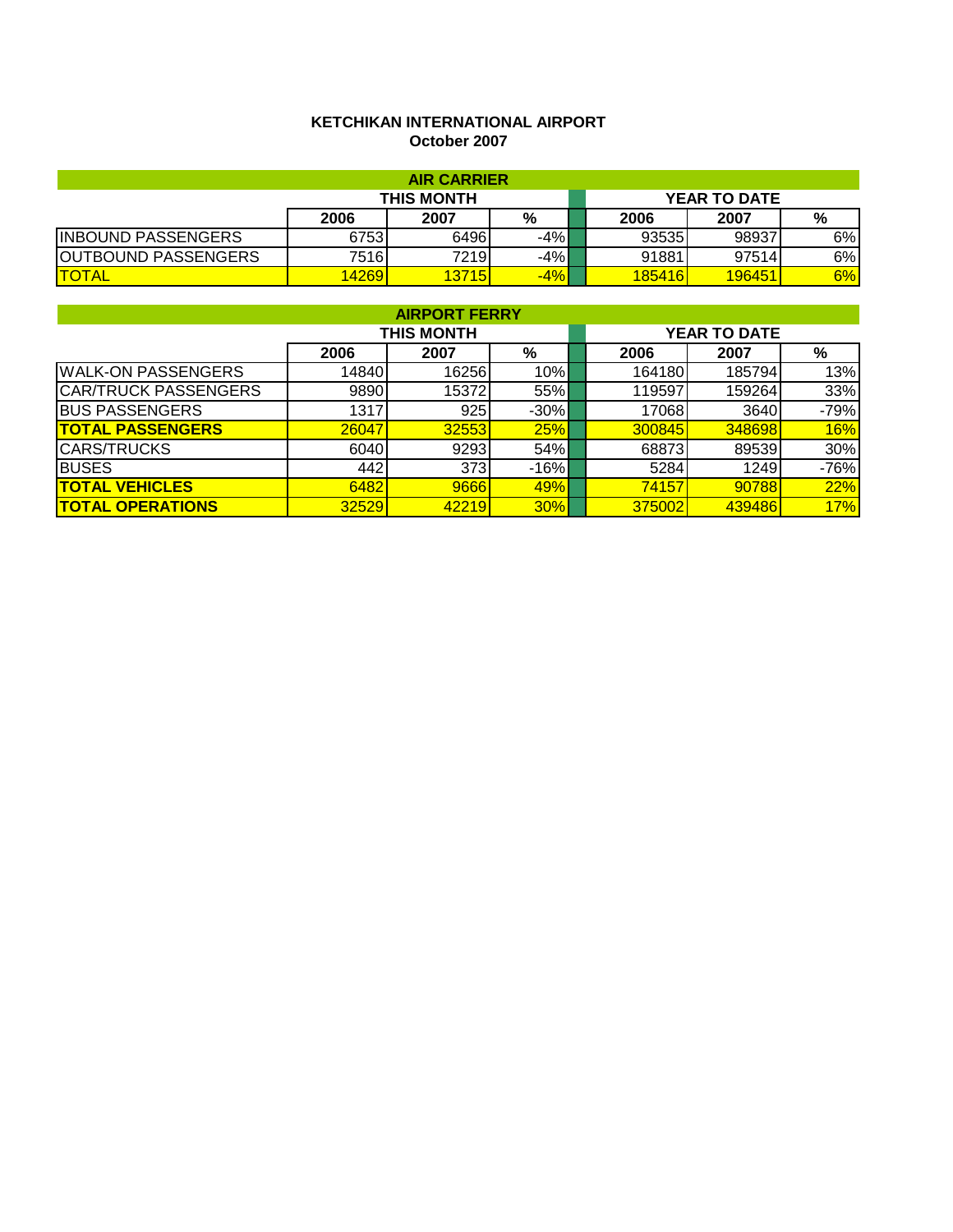# **KETCHIKAN INTERNATIONAL AIRPORT October 2007**

| <b>AIR CARRIER</b>         |                   |      |       |  |        |                     |    |  |  |
|----------------------------|-------------------|------|-------|--|--------|---------------------|----|--|--|
|                            | <b>THIS MONTH</b> |      |       |  |        | <b>YEAR TO DATE</b> |    |  |  |
|                            | 2006              | 2007 | %     |  | 2006   | 2007                | %  |  |  |
| <b>INBOUND PASSENGERS</b>  | 6753              | 6496 | $-4%$ |  | 93535  | 98937               | 6% |  |  |
| <b>OUTBOUND PASSENGERS</b> | 7516              | 7219 | $-4%$ |  | 91881  | 97514               | 6% |  |  |
| <b>TOTAL</b>               | 14269             | 3715 | $-4%$ |  | 185416 | 196451              | 6% |  |  |

| <b>AIRPORT FERRY</b>        |                   |       |            |  |                     |        |            |  |  |
|-----------------------------|-------------------|-------|------------|--|---------------------|--------|------------|--|--|
|                             | <b>THIS MONTH</b> |       |            |  | <b>YEAR TO DATE</b> |        |            |  |  |
|                             | 2006              | 2007  | %          |  | 2006                | 2007   | %          |  |  |
| <b>WALK-ON PASSENGERS</b>   | 14840             | 16256 | $10\%$     |  | 164180              | 185794 | 13%        |  |  |
| <b>CAR/TRUCK PASSENGERS</b> | 9890              | 15372 | 55%        |  | 119597              | 159264 | 33%        |  |  |
| <b>BUS PASSENGERS</b>       | 1317              | 925   | $-30\%$    |  | 17068               | 3640   | $-79%$     |  |  |
| <b>TOTAL PASSENGERS</b>     | 26047             | 32553 | 25%        |  | 300845              | 348698 | <b>16%</b> |  |  |
| <b>CARS/TRUCKS</b>          | 6040              | 9293  | 54%        |  | 68873               | 89539  | 30%        |  |  |
| <b>BUSES</b>                | 442               | 373   | $-16%$     |  | 5284                | 1249   | $-76%$     |  |  |
| <b>TOTAL VEHICLES</b>       | 6482              | 9666  | <b>49%</b> |  | 74157               | 90788  | 22%        |  |  |
| <b>TOTAL OPERATIONS</b>     | 32529             | 42219 | 30%        |  | 375002              | 439486 | 17%        |  |  |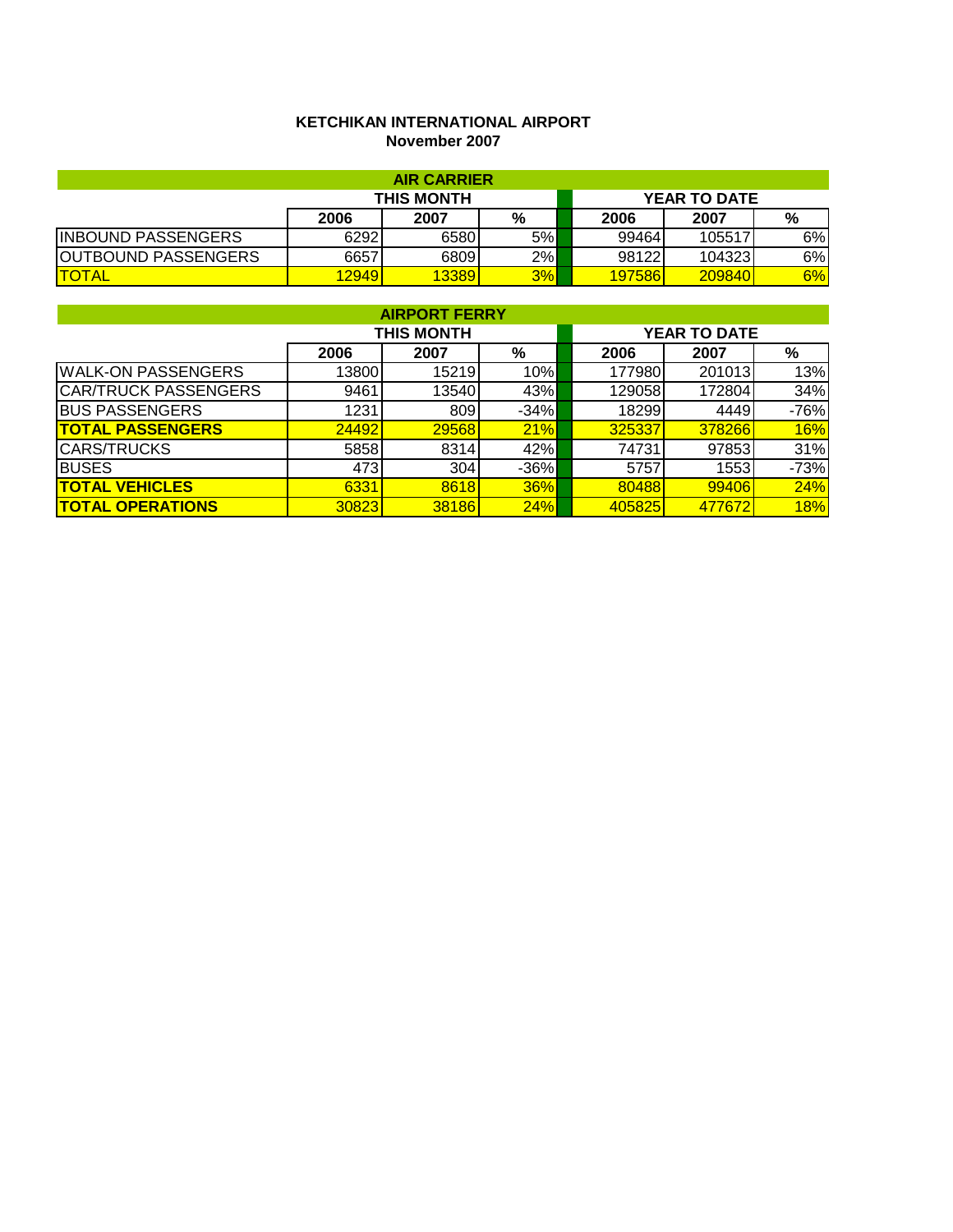## **KETCHIKAN INTERNATIONAL AIRPORT November 2007**

| <b>AIR CARRIER</b>         |       |                     |    |               |        |     |  |  |  |
|----------------------------|-------|---------------------|----|---------------|--------|-----|--|--|--|
|                            |       | <b>YEAR TO DATE</b> |    |               |        |     |  |  |  |
|                            | 2006  | 2007                | %  | 2006          | 2007   | %   |  |  |  |
| <b>INBOUND PASSENGERS</b>  | 6292  | 6580                | 5% | 99464         | 105517 | 6%  |  |  |  |
| <b>OUTBOUND PASSENGERS</b> | 6657  | 6809                | 2% | 98122         | 104323 | 6%l |  |  |  |
| <b>ITOTAL</b>              | 12949 | 13389               | 3% | <b>197586</b> | 209840 | 6%  |  |  |  |

| <b>AIRPORT FERRY</b>        |       |                   |        |                     |        |        |  |  |  |
|-----------------------------|-------|-------------------|--------|---------------------|--------|--------|--|--|--|
|                             |       | <b>THIS MONTH</b> |        | <b>YEAR TO DATE</b> |        |        |  |  |  |
|                             | 2006  | 2007              | %      | 2006                | 2007   | %      |  |  |  |
| <b>WALK-ON PASSENGERS</b>   | 13800 | 15219             | 10%    | 177980              | 201013 | 13%    |  |  |  |
| <b>CAR/TRUCK PASSENGERS</b> | 9461  | 13540             | 43%    | 129058              | 172804 | 34%    |  |  |  |
| <b>BUS PASSENGERS</b>       | 1231  | 809               | $-34%$ | 18299               | 4449   | $-76%$ |  |  |  |
| <b>TOTAL PASSENGERS</b>     | 24492 | 29568             | 21%    | 325337              | 378266 | 16%    |  |  |  |
| <b>ICARS/TRUCKS</b>         | 5858  | 8314              | 42%    | 74731               | 97853  | 31%    |  |  |  |
| <b>BUSES</b>                | 473   | 304               | $-36%$ | 5757                | 1553   | $-73%$ |  |  |  |
| <b>TOTAL VEHICLES</b>       | 6331  | 8618              | 36%    | 80488               | 99406  | 24%    |  |  |  |
| <b>TOTAL OPERATIONS</b>     | 30823 | 38186             | 24%    | 405825              | 477672 | 18%    |  |  |  |